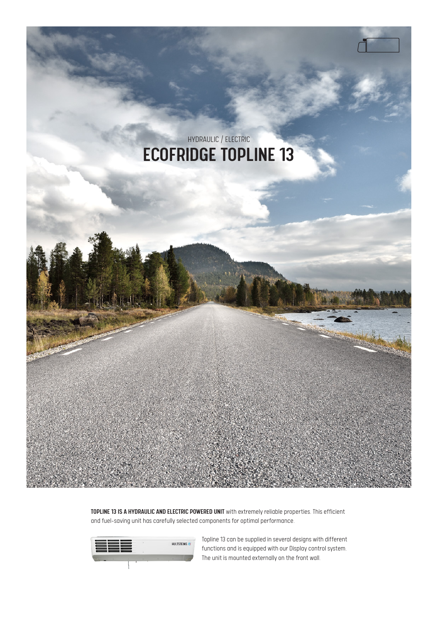

TOPLINE 13 IS A HYDRAULIC AND ELECTRIC POWERED UNIT with extremely reliable properties. This efficient and fuel-saving unit has carefully selected components for optimal performance.



Topline 13 can be supplied in several designs with different functions and is equipped with our Display control system. The unit is mounted externally on the front wall.